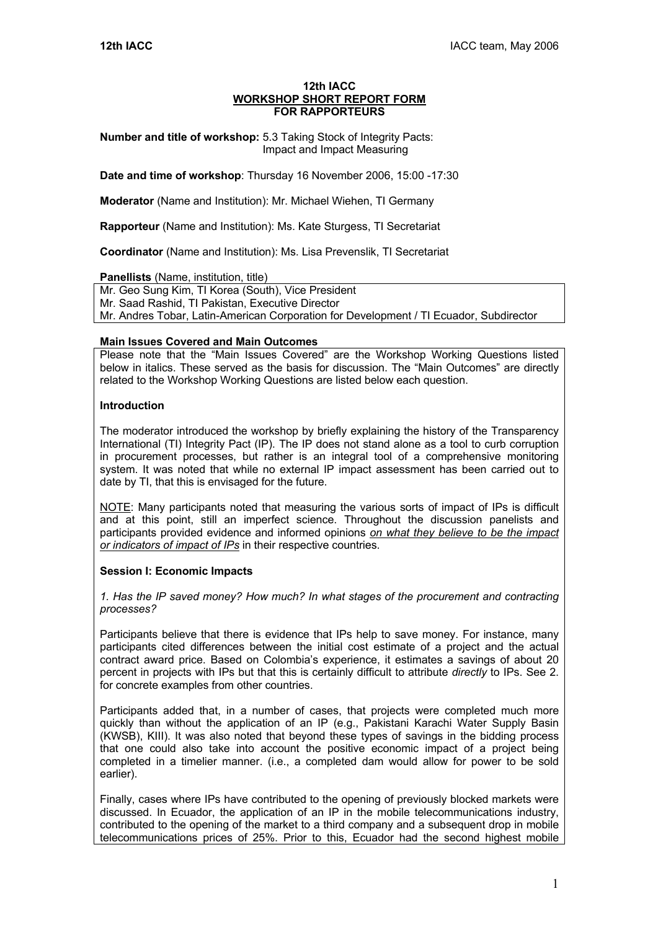#### **12th IACC WORKSHOP SHORT REPORT FORM FOR RAPPORTEURS**

**Number and title of workshop:** 5.3 Taking Stock of Integrity Pacts: Impact and Impact Measuring

**Date and time of workshop**: Thursday 16 November 2006, 15:00 -17:30

**Moderator** (Name and Institution): Mr. Michael Wiehen, TI Germany

**Rapporteur** (Name and Institution): Ms. Kate Sturgess, TI Secretariat

**Coordinator** (Name and Institution): Ms. Lisa Prevenslik, TI Secretariat

#### **Panellists** (Name, institution, title)

Mr. Geo Sung Kim, TI Korea (South), Vice President Mr. Saad Rashid, TI Pakistan, Executive Director Mr. Andres Tobar, Latin-American Corporation for Development / TI Ecuador, Subdirector

### **Main Issues Covered and Main Outcomes**

Please note that the "Main Issues Covered" are the Workshop Working Questions listed below in italics. These served as the basis for discussion. The "Main Outcomes" are directly related to the Workshop Working Questions are listed below each question.

### **Introduction**

The moderator introduced the workshop by briefly explaining the history of the Transparency International (TI) Integrity Pact (IP). The IP does not stand alone as a tool to curb corruption in procurement processes, but rather is an integral tool of a comprehensive monitoring system. It was noted that while no external IP impact assessment has been carried out to date by TI, that this is envisaged for the future.

NOTE: Many participants noted that measuring the various sorts of impact of IPs is difficult and at this point, still an imperfect science. Throughout the discussion panelists and participants provided evidence and informed opinions *on what they believe to be the impact or indicators of impact of IPs* in their respective countries.

# **Session I: Economic Impacts**

*1. Has the IP saved money? How much? In what stages of the procurement and contracting processes?* 

Participants believe that there is evidence that IPs help to save money. For instance, many participants cited differences between the initial cost estimate of a project and the actual contract award price. Based on Colombia's experience, it estimates a savings of about 20 percent in projects with IPs but that this is certainly difficult to attribute *directly* to IPs. See 2. for concrete examples from other countries.

Participants added that, in a number of cases, that projects were completed much more quickly than without the application of an IP (e.g., Pakistani Karachi Water Supply Basin (KWSB), KIII). It was also noted that beyond these types of savings in the bidding process that one could also take into account the positive economic impact of a project being completed in a timelier manner. (i.e., a completed dam would allow for power to be sold earlier).

Finally, cases where IPs have contributed to the opening of previously blocked markets were discussed. In Ecuador, the application of an IP in the mobile telecommunications industry, contributed to the opening of the market to a third company and a subsequent drop in mobile telecommunications prices of 25%. Prior to this, Ecuador had the second highest mobile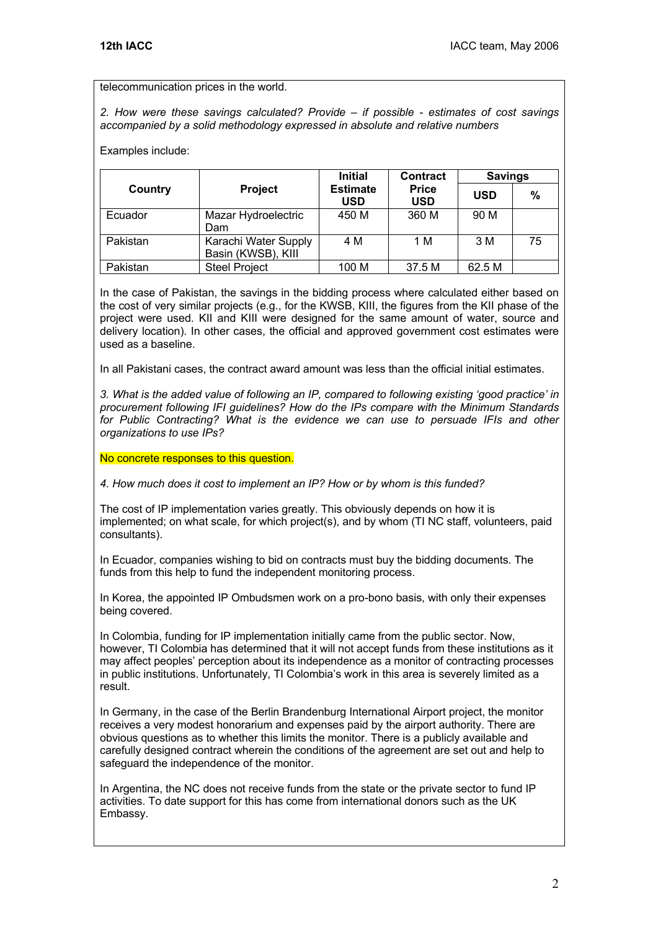### telecommunication prices in the world.

*2. How were these savings calculated? Provide – if possible - estimates of cost savings accompanied by a solid methodology expressed in absolute and relative numbers* 

### Examples include:

|          | <b>Project</b>                             | <b>Initial</b><br><b>Estimate</b><br><b>USD</b> | Contract<br><b>Price</b><br><b>USD</b> | <b>Savings</b> |    |
|----------|--------------------------------------------|-------------------------------------------------|----------------------------------------|----------------|----|
| Country  |                                            |                                                 |                                        | <b>USD</b>     | %  |
| Ecuador  | Mazar Hydroelectric<br>Dam                 | 450 M                                           | 360 M                                  | 90 M           |    |
| Pakistan | Karachi Water Supply<br>Basin (KWSB), KIII | 4 M                                             | 1 M                                    | 3 M            | 75 |
| Pakistan | <b>Steel Project</b>                       | 100 M                                           | 37.5 M                                 | 62.5 M         |    |

In the case of Pakistan, the savings in the bidding process where calculated either based on the cost of very similar projects (e.g., for the KWSB, KIII, the figures from the KII phase of the project were used. KII and KIII were designed for the same amount of water, source and delivery location). In other cases, the official and approved government cost estimates were used as a baseline.

In all Pakistani cases, the contract award amount was less than the official initial estimates.

*3. What is the added value of following an IP, compared to following existing 'good practice' in procurement following IFI guidelines? How do the IPs compare with the Minimum Standards for Public Contracting? What is the evidence we can use to persuade IFIs and other organizations to use IPs?* 

### No concrete responses to this question.

*4. How much does it cost to implement an IP? How or by whom is this funded?* 

The cost of IP implementation varies greatly. This obviously depends on how it is implemented; on what scale, for which project(s), and by whom (TI NC staff, volunteers, paid consultants).

In Ecuador, companies wishing to bid on contracts must buy the bidding documents. The funds from this help to fund the independent monitoring process.

In Korea, the appointed IP Ombudsmen work on a pro-bono basis, with only their expenses being covered.

In Colombia, funding for IP implementation initially came from the public sector. Now, however, TI Colombia has determined that it will not accept funds from these institutions as it may affect peoples' perception about its independence as a monitor of contracting processes in public institutions. Unfortunately, TI Colombia's work in this area is severely limited as a result.

In Germany, in the case of the Berlin Brandenburg International Airport project, the monitor receives a very modest honorarium and expenses paid by the airport authority. There are obvious questions as to whether this limits the monitor. There is a publicly available and carefully designed contract wherein the conditions of the agreement are set out and help to safeguard the independence of the monitor.

In Argentina, the NC does not receive funds from the state or the private sector to fund IP activities. To date support for this has come from international donors such as the UK Embassy.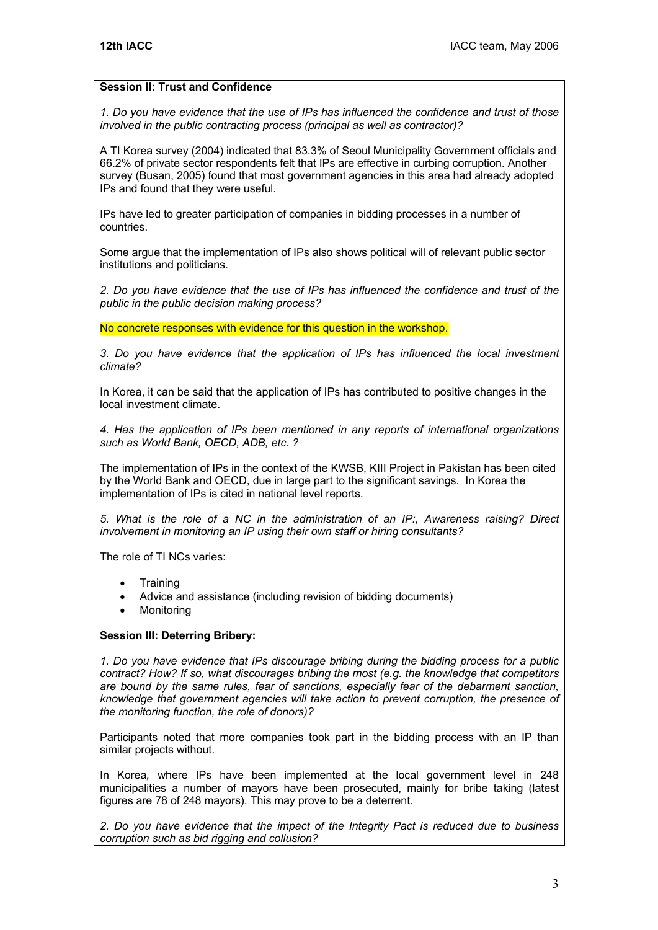# **Session II: Trust and Confidence**

*1. Do you have evidence that the use of IPs has influenced the confidence and trust of those involved in the public contracting process (principal as well as contractor)?* 

A TI Korea survey (2004) indicated that 83.3% of Seoul Municipality Government officials and 66.2% of private sector respondents felt that IPs are effective in curbing corruption. Another survey (Busan, 2005) found that most government agencies in this area had already adopted IPs and found that they were useful.

IPs have led to greater participation of companies in bidding processes in a number of countries.

Some argue that the implementation of IPs also shows political will of relevant public sector institutions and politicians.

*2. Do you have evidence that the use of IPs has influenced the confidence and trust of the public in the public decision making process?* 

No concrete responses with evidence for this question in the workshop.

*3. Do you have evidence that the application of IPs has influenced the local investment climate?* 

In Korea, it can be said that the application of IPs has contributed to positive changes in the local investment climate.

*4. Has the application of IPs been mentioned in any reports of international organizations such as World Bank, OECD, ADB, etc. ?* 

The implementation of IPs in the context of the KWSB, KIII Project in Pakistan has been cited by the World Bank and OECD, due in large part to the significant savings. In Korea the implementation of IPs is cited in national level reports.

*5. What is the role of a NC in the administration of an IP:, Awareness raising? Direct involvement in monitoring an IP using their own staff or hiring consultants?* 

The role of TI NCs varies:

- **Training**
- Advice and assistance (including revision of bidding documents)
- **Monitoring**

# **Session III: Deterring Bribery:**

*1. Do you have evidence that IPs discourage bribing during the bidding process for a public contract? How? If so, what discourages bribing the most (e.g. the knowledge that competitors are bound by the same rules, fear of sanctions, especially fear of the debarment sanction, knowledge that government agencies will take action to prevent corruption, the presence of the monitoring function, the role of donors)?* 

Participants noted that more companies took part in the bidding process with an IP than similar projects without.

In Korea*,* where IPs have been implemented at the local government level in 248 municipalities a number of mayors have been prosecuted, mainly for bribe taking (latest figures are 78 of 248 mayors). This may prove to be a deterrent.

*2. Do you have evidence that the impact of the Integrity Pact is reduced due to business corruption such as bid rigging and collusion?*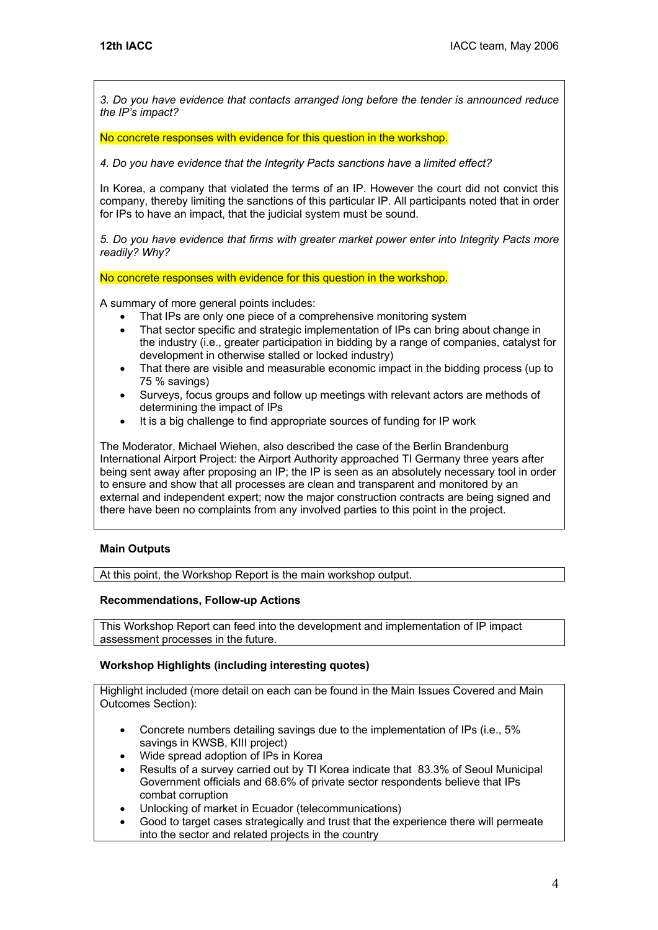*3. Do you have evidence that contacts arranged long before the tender is announced reduce the IP's impact?* 

No concrete responses with evidence for this question in the workshop.

*4. Do you have evidence that the Integrity Pacts sanctions have a limited effect?* 

In Korea, a company that violated the terms of an IP. However the court did not convict this company, thereby limiting the sanctions of this particular IP. All participants noted that in order for IPs to have an impact, that the judicial system must be sound.

*5. Do you have evidence that firms with greater market power enter into Integrity Pacts more readily? Why?* 

No concrete responses with evidence for this question in the workshop.

A summary of more general points includes:

- That IPs are only one piece of a comprehensive monitoring system
- That sector specific and strategic implementation of IPs can bring about change in the industry (i.e., greater participation in bidding by a range of companies, catalyst for development in otherwise stalled or locked industry)
- That there are visible and measurable economic impact in the bidding process (up to 75 % savings)
- Surveys, focus groups and follow up meetings with relevant actors are methods of determining the impact of IPs
- It is a big challenge to find appropriate sources of funding for IP work

The Moderator, Michael Wiehen, also described the case of the Berlin Brandenburg International Airport Project: the Airport Authority approached TI Germany three years after being sent away after proposing an IP; the IP is seen as an absolutely necessary tool in order to ensure and show that all processes are clean and transparent and monitored by an external and independent expert; now the major construction contracts are being signed and there have been no complaints from any involved parties to this point in the project.

# **Main Outputs**

At this point, the Workshop Report is the main workshop output.

# **Recommendations, Follow-up Actions**

This Workshop Report can feed into the development and implementation of IP impact assessment processes in the future.

# **Workshop Highlights (including interesting quotes)**

Highlight included (more detail on each can be found in the Main Issues Covered and Main Outcomes Section):

- Concrete numbers detailing savings due to the implementation of IPs (i.e., 5% savings in KWSB, KIII project)
- Wide spread adoption of IPs in Korea
- Results of a survey carried out by TI Korea indicate that 83.3% of Seoul Municipal Government officials and 68.6% of private sector respondents believe that IPs combat corruption
- Unlocking of market in Ecuador (telecommunications)
- Good to target cases strategically and trust that the experience there will permeate into the sector and related projects in the country